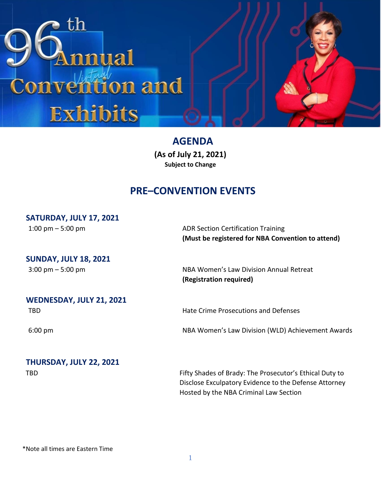

### **AGENDA**

**(As of July 21, 2021) Subject to Change**

### **PRE–CONVENTION EVENTS**

#### **SATURDAY, JULY 17, 2021**

1:00 pm – 5:00 pm **(Must be registered for NBA Convention to attend)**

## **SUNDAY, JULY 18, 2021**

3:00 pm – 5:00 pm NBA Women's Law Division Annual Retreat **(Registration required)**

### **WEDNESDAY, JULY 21, 2021**

### TBD Hate Crime Prosecutions and Defenses

6:00 pm NBA Women's Law Division (WLD) Achievement Awards

# **THURSDAY, JULY 22, 2021**

TBD Fifty Shades of Brady: The Prosecutor's Ethical Duty to Disclose Exculpatory Evidence to the Defense Attorney Hosted by the NBA Criminal Law Section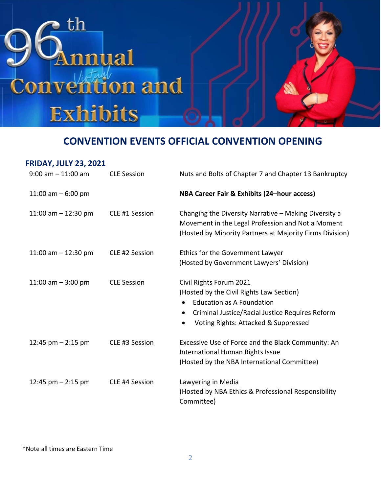

### **CONVENTION EVENTS OFFICIAL CONVENTION OPENING**

#### **FRIDAY, JULY 23, 2021**

| $9:00$ am $-11:00$ am | <b>CLE Session</b> | Nuts and Bolts of Chapter 7 and Chapter 13 Bankruptcy                                                                                                                                                                                     |  |
|-----------------------|--------------------|-------------------------------------------------------------------------------------------------------------------------------------------------------------------------------------------------------------------------------------------|--|
| 11:00 am $-6:00$ pm   |                    | NBA Career Fair & Exhibits (24-hour access)                                                                                                                                                                                               |  |
| 11:00 am $-$ 12:30 pm | CLE #1 Session     | Changing the Diversity Narrative - Making Diversity a<br>Movement in the Legal Profession and Not a Moment<br>(Hosted by Minority Partners at Majority Firms Division)                                                                    |  |
| 11:00 am $-$ 12:30 pm | CLE #2 Session     | Ethics for the Government Lawyer<br>(Hosted by Government Lawyers' Division)                                                                                                                                                              |  |
| 11:00 am $-$ 3:00 pm  | <b>CLE Session</b> | Civil Rights Forum 2021<br>(Hosted by the Civil Rights Law Section)<br><b>Education as A Foundation</b><br>$\bullet$<br>Criminal Justice/Racial Justice Requires Reform<br>$\bullet$<br>Voting Rights: Attacked & Suppressed<br>$\bullet$ |  |
| 12:45 pm $-$ 2:15 pm  | CLE #3 Session     | Excessive Use of Force and the Black Community: An<br>International Human Rights Issue<br>(Hosted by the NBA International Committee)                                                                                                     |  |
| 12:45 pm $-$ 2:15 pm  | CLE #4 Session     | Lawyering in Media<br>(Hosted by NBA Ethics & Professional Responsibility<br>Committee)                                                                                                                                                   |  |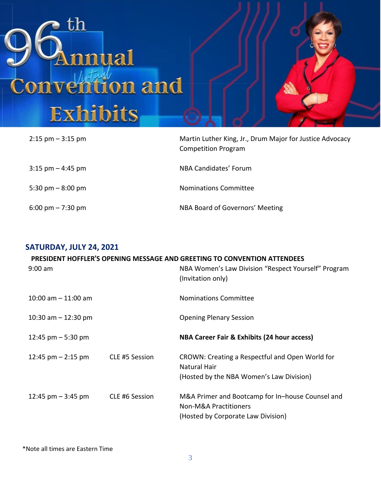

| $2:15$ pm $-3:15$ pm                | Martin Luther King, Jr., Drum Major for Justice Advocacy<br><b>Competition Program</b> |
|-------------------------------------|----------------------------------------------------------------------------------------|
| $3:15$ pm $-4:45$ pm                | NBA Candidates' Forum                                                                  |
| 5:30 pm $-8:00$ pm                  | <b>Nominations Committee</b>                                                           |
| $6:00 \text{ pm} - 7:30 \text{ pm}$ | NBA Board of Governors' Meeting                                                        |

### **SATURDAY, JULY 24, 2021**

|                        |                | PRESIDENT HOFFLER'S OPENING MESSAGE AND GREETING TO CONVENTION ATTENDEES                                           |  |
|------------------------|----------------|--------------------------------------------------------------------------------------------------------------------|--|
| $9:00$ am              |                | NBA Women's Law Division "Respect Yourself" Program<br>(Invitation only)                                           |  |
| $10:00$ am $-11:00$ am |                | <b>Nominations Committee</b>                                                                                       |  |
| 10:30 am $-$ 12:30 pm  |                | <b>Opening Plenary Session</b>                                                                                     |  |
| 12:45 pm $-5:30$ pm    |                | <b>NBA Career Fair &amp; Exhibits (24 hour access)</b>                                                             |  |
| 12:45 pm $-$ 2:15 pm   | CLE #5 Session | CROWN: Creating a Respectful and Open World for<br><b>Natural Hair</b><br>(Hosted by the NBA Women's Law Division) |  |
| 12:45 pm $-$ 3:45 pm   | CLE #6 Session | M&A Primer and Bootcamp for In-house Counsel and<br>Non-M&A Practitioners<br>(Hosted by Corporate Law Division)    |  |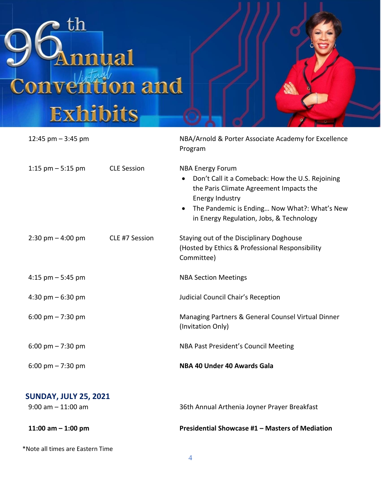

| 12:45 pm $-$ 3:45 pm                |                    | NBA/Arnold & Porter Associate Academy for Excellence<br>Program                                                                                                                                                                       |
|-------------------------------------|--------------------|---------------------------------------------------------------------------------------------------------------------------------------------------------------------------------------------------------------------------------------|
| 1:15 $pm - 5:15$ pm                 | <b>CLE Session</b> | <b>NBA Energy Forum</b><br>Don't Call it a Comeback: How the U.S. Rejoining<br>the Paris Climate Agreement Impacts the<br>Energy Industry<br>The Pandemic is Ending Now What?: What's New<br>in Energy Regulation, Jobs, & Technology |
| $2:30 \text{ pm} - 4:00 \text{ pm}$ | CLE #7 Session     | Staying out of the Disciplinary Doghouse<br>(Hosted by Ethics & Professional Responsibility<br>Committee)                                                                                                                             |
| 4:15 pm $-$ 5:45 pm                 |                    | <b>NBA Section Meetings</b>                                                                                                                                                                                                           |
| 4:30 pm $-6:30$ pm                  |                    | Judicial Council Chair's Reception                                                                                                                                                                                                    |
| 6:00 pm $- 7:30$ pm                 |                    | Managing Partners & General Counsel Virtual Dinner<br>(Invitation Only)                                                                                                                                                               |
| $6:00 \text{ pm} - 7:30 \text{ pm}$ |                    | NBA Past President's Council Meeting                                                                                                                                                                                                  |
| 6:00 pm $- 7:30$ pm                 |                    | NBA 40 Under 40 Awards Gala                                                                                                                                                                                                           |
| <b>SUNDAY, JULY 25, 2021</b>        |                    |                                                                                                                                                                                                                                       |
| $9:00$ am $-11:00$ am               |                    | 36th Annual Arthenia Joyner Prayer Breakfast                                                                                                                                                                                          |
| 11:00 am $-$ 1:00 pm                |                    | Presidential Showcase #1 - Masters of Mediation                                                                                                                                                                                       |

\*Note all times are Eastern Time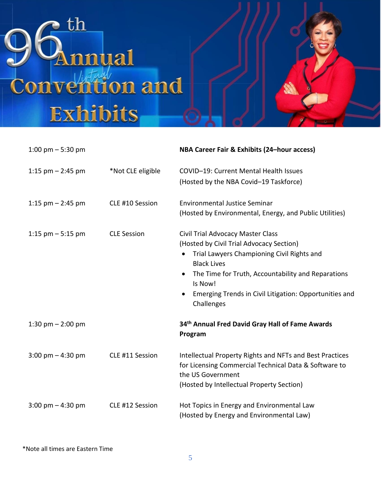

| 1:00 pm $-$ 5:30 pm                 |                    | NBA Career Fair & Exhibits (24-hour access)                                                                                                                                                                                                                                                             |
|-------------------------------------|--------------------|---------------------------------------------------------------------------------------------------------------------------------------------------------------------------------------------------------------------------------------------------------------------------------------------------------|
| 1:15 pm $-$ 2:45 pm                 | *Not CLE eligible  | COVID-19: Current Mental Health Issues<br>(Hosted by the NBA Covid-19 Taskforce)                                                                                                                                                                                                                        |
| 1:15 $pm - 2:45$ pm                 | CLE #10 Session    | <b>Environmental Justice Seminar</b><br>(Hosted by Environmental, Energy, and Public Utilities)                                                                                                                                                                                                         |
| 1:15 $pm - 5:15$ pm                 | <b>CLE Session</b> | Civil Trial Advocacy Master Class<br>(Hosted by Civil Trial Advocacy Section)<br>Trial Lawyers Championing Civil Rights and<br><b>Black Lives</b><br>The Time for Truth, Accountability and Reparations<br>$\bullet$<br>Is Now!<br>Emerging Trends in Civil Litigation: Opportunities and<br>Challenges |
| 1:30 pm $-$ 2:00 pm                 |                    | 34th Annual Fred David Gray Hall of Fame Awards<br>Program                                                                                                                                                                                                                                              |
| $3:00 \text{ pm} - 4:30 \text{ pm}$ | CLE #11 Session    | Intellectual Property Rights and NFTs and Best Practices<br>for Licensing Commercial Technical Data & Software to<br>the US Government<br>(Hosted by Intellectual Property Section)                                                                                                                     |
| $3:00 \text{ pm} - 4:30 \text{ pm}$ | CLE #12 Session    | Hot Topics in Energy and Environmental Law<br>(Hosted by Energy and Environmental Law)                                                                                                                                                                                                                  |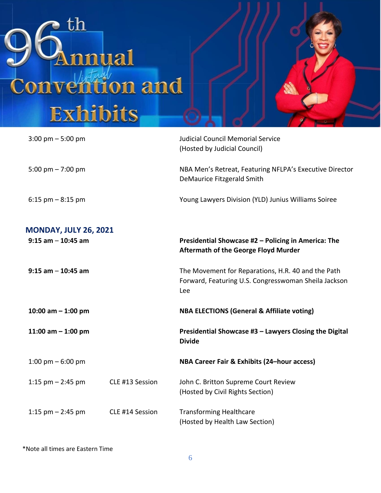

| $3:00 \text{ pm} - 5:00 \text{ pm}$ |                 | <b>Judicial Council Memorial Service</b><br>(Hosted by Judicial Council)                                          |
|-------------------------------------|-----------------|-------------------------------------------------------------------------------------------------------------------|
| 5:00 pm $- 7:00$ pm                 |                 | NBA Men's Retreat, Featuring NFLPA's Executive Director<br>DeMaurice Fitzgerald Smith                             |
| $6:15$ pm $-8:15$ pm                |                 | Young Lawyers Division (YLD) Junius Williams Soiree                                                               |
| <b>MONDAY, JULY 26, 2021</b>        |                 |                                                                                                                   |
| $9:15$ am $-10:45$ am               |                 | Presidential Showcase #2 - Policing in America: The<br><b>Aftermath of the George Floyd Murder</b>                |
| $9:15$ am $-10:45$ am               |                 | The Movement for Reparations, H.R. 40 and the Path<br>Forward, Featuring U.S. Congresswoman Sheila Jackson<br>Lee |
| 10:00 am $-$ 1:00 pm                |                 | <b>NBA ELECTIONS (General &amp; Affiliate voting)</b>                                                             |
| 11:00 am $-$ 1:00 pm                |                 | Presidential Showcase #3 - Lawyers Closing the Digital<br><b>Divide</b>                                           |
| 1:00 pm $-6:00$ pm                  |                 | NBA Career Fair & Exhibits (24-hour access)                                                                       |
| 1:15 pm $-$ 2:45 pm                 | CLE #13 Session | John C. Britton Supreme Court Review<br>(Hosted by Civil Rights Section)                                          |
| 1:15 $pm - 2:45$ pm                 | CLE #14 Session | <b>Transforming Healthcare</b><br>(Hosted by Health Law Section)                                                  |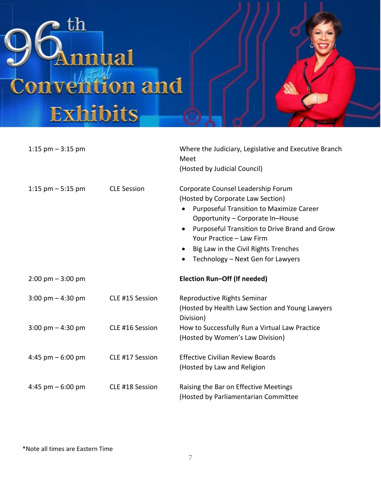

| 1:15 $pm - 3:15$ pm                 |                    | Where the Judiciary, Legislative and Executive Branch<br>Meet<br>(Hosted by Judicial Council)                                                                                                                                                                                                                                                      |
|-------------------------------------|--------------------|----------------------------------------------------------------------------------------------------------------------------------------------------------------------------------------------------------------------------------------------------------------------------------------------------------------------------------------------------|
| 1:15 $pm - 5:15$ pm                 | <b>CLE Session</b> | Corporate Counsel Leadership Forum<br>(Hosted by Corporate Law Section)<br><b>Purposeful Transition to Maximize Career</b><br>Opportunity - Corporate In-House<br>Purposeful Transition to Drive Brand and Grow<br>Your Practice - Law Firm<br>Big Law in the Civil Rights Trenches<br>$\bullet$<br>Technology - Next Gen for Lawyers<br>$\bullet$ |
| $2:00 \text{ pm} - 3:00 \text{ pm}$ |                    | Election Run-Off (If needed)                                                                                                                                                                                                                                                                                                                       |
| $3:00$ pm $-4:30$ pm                | CLE #15 Session    | Reproductive Rights Seminar<br>(Hosted by Health Law Section and Young Lawyers<br>Division)                                                                                                                                                                                                                                                        |
| $3:00 \text{ pm} - 4:30 \text{ pm}$ | CLE #16 Session    | How to Successfully Run a Virtual Law Practice<br>(Hosted by Women's Law Division)                                                                                                                                                                                                                                                                 |
| 4:45 pm $-6:00$ pm                  | CLE #17 Session    | <b>Effective Civilian Review Boards</b><br>(Hosted by Law and Religion                                                                                                                                                                                                                                                                             |
| 4:45 pm $-6:00$ pm                  | CLE #18 Session    | Raising the Bar on Effective Meetings<br>(Hosted by Parliamentarian Committee                                                                                                                                                                                                                                                                      |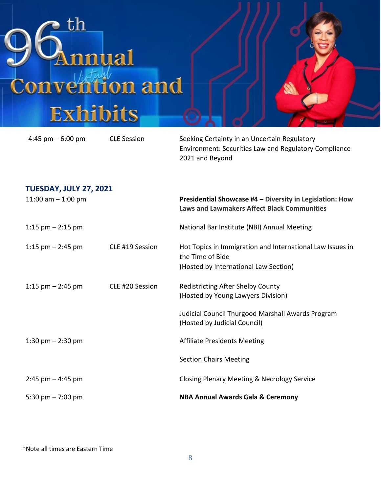

4:45 pm – 6:00 pm CLE Session Seeking Certainty in an Uncertain Regulatory Environment: Securities Law and Regulatory Compliance 2021 and Beyond

| <b>TUESDAY, JULY 27, 2021</b> |  |  |
|-------------------------------|--|--|
|                               |  |  |

11:00 am – 1:00 pm **Presidential Showcase #4 – Diversity in Legislation: How**

**Laws and Lawmakers Affect Black Communities** 1:15 pm – 2:15 pm National Bar Institute (NBI) Annual Meeting

1:15 pm – 2:45 pm CLE #19 Session Hot Topics in Immigration and International Law Issues in the Time of Bide (Hosted by International Law Section)

1:15 pm – 2:45 pm CLE #20 Session Redistricting After Shelby County (Hosted by Young Lawyers Division)

> Judicial Council Thurgood Marshall Awards Program (Hosted by Judicial Council)

1:30 pm – 2:30 pm and the state of the Affiliate Presidents Meeting

Section Chairs Meeting

2:45 pm – 4:45 pm Closing Plenary Meeting & Necrology Service

5:30 pm – 7:00 pm **NBA Annual Awards Gala & Ceremony**

\*Note all times are Eastern Time